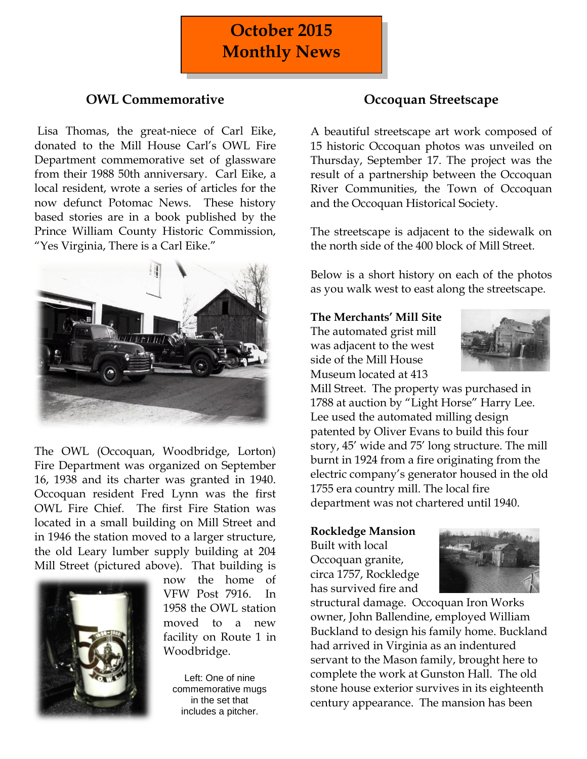# **October 2015 Monthly News**

# **OWL Commemorative**

Lisa Thomas, the great-niece of Carl Eike, donated to the Mill House Carl's OWL Fire Department commemorative set of glassware from their 1988 50th anniversary. Carl Eike, a local resident, wrote a series of articles for the now defunct Potomac News. These history based stories are in a book published by the Prince William County Historic Commission, "Yes Virginia, There is a Carl Eike."



The OWL (Occoquan, Woodbridge, Lorton) Fire Department was organized on September 16, 1938 and its charter was granted in 1940. Occoquan resident Fred Lynn was the first OWL Fire Chief. The first Fire Station was located in a small building on Mill Street and in 1946 the station moved to a larger structure, the old Leary lumber supply building at 204 Mill Street (pictured above). That building is



now the home of VFW Post 7916. In 1958 the OWL station moved to a new facility on Route 1 in Woodbridge.

Left: One of nine commemorative mugs in the set that includes a pitcher.

# **Occoquan Streetscape**

A beautiful streetscape art work composed of 15 historic Occoquan photos was unveiled on Thursday, September 17. The project was the result of a partnership between the Occoquan River Communities, the Town of Occoquan and the Occoquan Historical Society.

The streetscape is adjacent to the sidewalk on the north side of the 400 block of Mill Street.

Below is a short history on each of the photos as you walk west to east along the streetscape.

**The Merchants' Mill Site**

The automated grist mill was adjacent to the west side of the Mill House Museum located at 413



Mill Street. The property was purchased in 1788 at auction by "Light Horse" Harry Lee. Lee used the automated milling design patented by Oliver Evans to build this four story, 45' wide and 75' long structure. The mill burnt in 1924 from a fire originating from the electric company's generator housed in the old 1755 era country mill. The local fire department was not chartered until 1940.

#### **Rockledge Mansion**

Built with local Occoquan granite, circa 1757, Rockledge has survived fire and



structural damage. Occoquan Iron Works owner, John Ballendine, employed William Buckland to design his family home. Buckland had arrived in Virginia as an indentured servant to the Mason family, brought here to complete the work at Gunston Hall. The old stone house exterior survives in its eighteenth century appearance. The mansion has been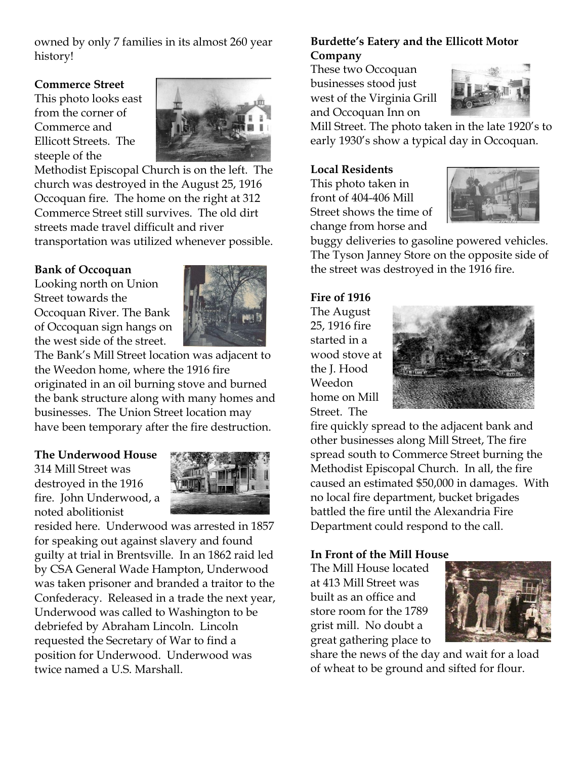owned by only 7 families in its almost 260 year history!

# **Commerce Street**

This photo looks east from the corner of Commerce and Ellicott Streets. The steeple of the



Methodist Episcopal Church is on the left. The church was destroyed in the August 25, 1916 Occoquan fire. The home on the right at 312 Commerce Street still survives. The old dirt streets made travel difficult and river transportation was utilized whenever possible.

# **Bank of Occoquan**

Looking north on Union Street towards the Occoquan River. The Bank of Occoquan sign hangs on the west side of the street.



The Bank's Mill Street location was adjacent to the Weedon home, where the 1916 fire originated in an oil burning stove and burned the bank structure along with many homes and businesses. The Union Street location may have been temporary after the fire destruction.

# **The Underwood House**

314 Mill Street was destroyed in the 1916 fire. John Underwood, a noted abolitionist



resided here. Underwood was arrested in 1857 for speaking out against slavery and found guilty at trial in Brentsville. In an 1862 raid led by CSA General Wade Hampton, Underwood was taken prisoner and branded a traitor to the Confederacy. Released in a trade the next year, Underwood was called to Washington to be debriefed by Abraham Lincoln. Lincoln requested the Secretary of War to find a position for Underwood. Underwood was twice named a U.S. Marshall.

# **Burdette's Eatery and the Ellicott Motor Company**

These two Occoquan businesses stood just west of the Virginia Grill and Occoquan Inn on



Mill Street. The photo taken in the late 1920's to early 1930's show a typical day in Occoquan.

#### **Local Residents**

This photo taken in front of 404-406 Mill Street shows the time of change from horse and



buggy deliveries to gasoline powered vehicles. The Tyson Janney Store on the opposite side of the street was destroyed in the 1916 fire.

#### **Fire of 1916**

The August 25, 1916 fire started in a wood stove at the J. Hood Weedon home on Mill Street. The



fire quickly spread to the adjacent bank and other businesses along Mill Street, The fire spread south to Commerce Street burning the Methodist Episcopal Church. In all, the fire caused an estimated \$50,000 in damages. With no local fire department, bucket brigades battled the fire until the Alexandria Fire Department could respond to the call.

#### **In Front of the Mill House**

The Mill House located at 413 Mill Street was built as an office and store room for the 1789 grist mill. No doubt a great gathering place to



share the news of the day and wait for a load of wheat to be ground and sifted for flour.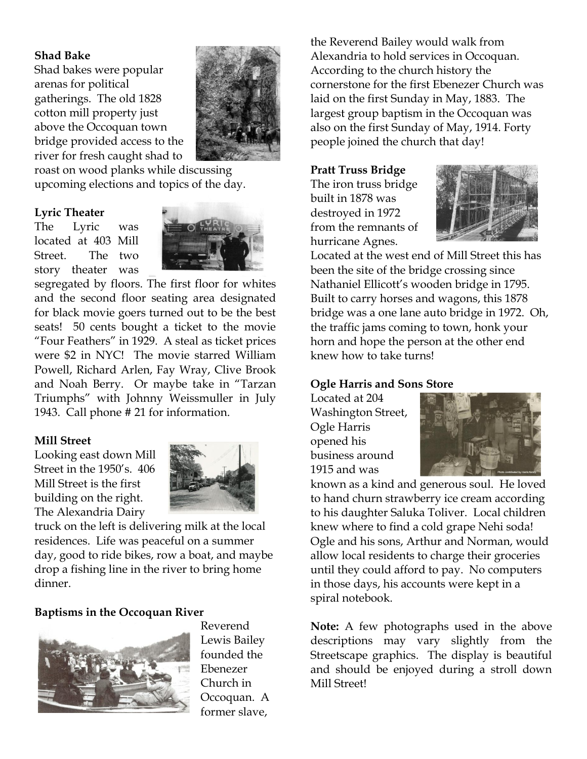### **Shad Bake**

Shad bakes were popular arenas for political gatherings. The old 1828 cotton mill property just above the Occoquan town bridge provided access to the river for fresh caught shad to



roast on wood planks while discussing upcoming elections and topics of the day.

### **Lyric Theater**

The Lyric was located at 403 Mill Street. The two story theater was



segregated by floors. The first floor for whites and the second floor seating area designated for black movie goers turned out to be the best seats! 50 cents bought a ticket to the movie "Four Feathers" in 1929. A steal as ticket prices were \$2 in NYC! The movie starred William Powell, Richard Arlen, Fay Wray, Clive Brook and Noah Berry. Or maybe take in "Tarzan Triumphs" with Johnny Weissmuller in July 1943. Call phone # 21 for information.

# **Mill Street**

Looking east down Mill Street in the 1950's. 406 Mill Street is the first building on the right. The Alexandria Dairy



truck on the left is delivering milk at the local residences. Life was peaceful on a summer day, good to ride bikes, row a boat, and maybe drop a fishing line in the river to bring home dinner.

# **Baptisms in the Occoquan River**



Reverend Lewis Bailey founded the Ebenezer Church in Occoquan. A former slave,

the Reverend Bailey would walk from Alexandria to hold services in Occoquan. According to the church history the cornerstone for the first Ebenezer Church was laid on the first Sunday in May, 1883. The largest group baptism in the Occoquan was also on the first Sunday of May, 1914. Forty people joined the church that day!

#### **Pratt Truss Bridge**

The iron truss bridge built in 1878 was destroyed in 1972 from the remnants of hurricane Agnes.



Located at the west end of Mill Street this has been the site of the bridge crossing since Nathaniel Ellicott's wooden bridge in 1795. Built to carry horses and wagons, this 1878 bridge was a one lane auto bridge in 1972. Oh, the traffic jams coming to town, honk your horn and hope the person at the other end knew how to take turns!

#### **Ogle Harris and Sons Store**

Located at 204 Washington Street, Ogle Harris opened his business around 1915 and was



known as a kind and generous soul. He loved to hand churn strawberry ice cream according to his daughter Saluka Toliver. Local children knew where to find a cold grape Nehi soda! Ogle and his sons, Arthur and Norman, would allow local residents to charge their groceries until they could afford to pay. No computers in those days, his accounts were kept in a spiral notebook.

**Note:** A few photographs used in the above descriptions may vary slightly from the Streetscape graphics. The display is beautiful and should be enjoyed during a stroll down Mill Street!